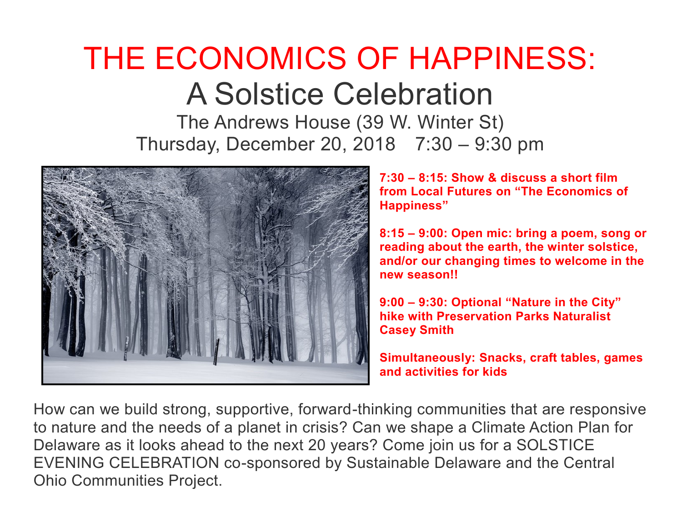## THE ECONOMICS OF HAPPINESS: A Solstice Celebration

The Andrews House (39 W. Winter St) Thursday, December 20, 2018 7:30 – 9:30 pm



**7:30 – 8:15: Show & discuss a short film from Local Futures on "The Economics of Happiness"**

**8:15 – 9:00: Open mic: bring a poem, song or reading about the earth, the winter solstice, and/or our changing times to welcome in the new season!!**

**9:00 – 9:30: Optional "Nature in the City" hike with Preservation Parks Naturalist Casey Smith** 

**Simultaneously: Snacks, craft tables, games and activities for kids** 

How can we build strong, supportive, forward-thinking communities that are responsive to nature and the needs of a planet in crisis? Can we shape a Climate Action Plan for Delaware as it looks ahead to the next 20 years? Come join us for a SOLSTICE EVENING CELEBRATION co-sponsored by Sustainable Delaware and the Central Ohio Communities Project.